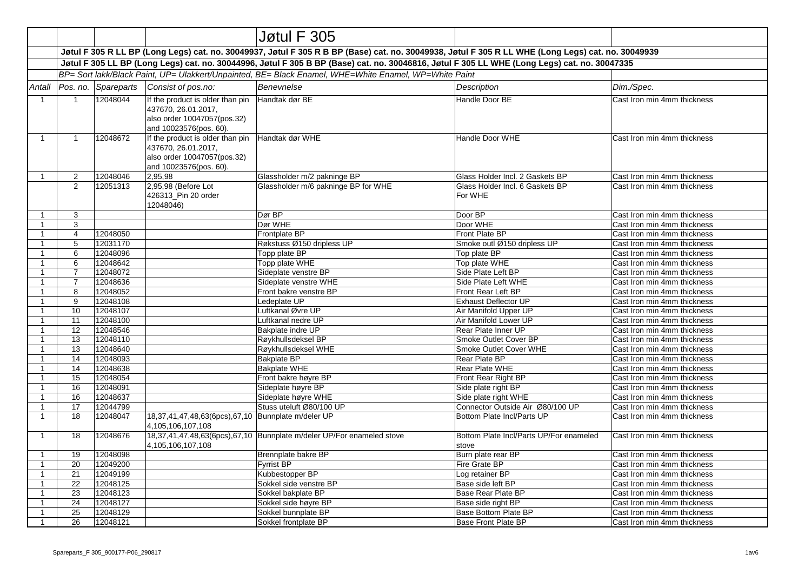|                              |                                                                                                                                              |                      |                                                                                                                  | Jøtul F 305                                                                                                                                        |                                                                |                                                            |  |  |
|------------------------------|----------------------------------------------------------------------------------------------------------------------------------------------|----------------------|------------------------------------------------------------------------------------------------------------------|----------------------------------------------------------------------------------------------------------------------------------------------------|----------------------------------------------------------------|------------------------------------------------------------|--|--|
|                              |                                                                                                                                              |                      |                                                                                                                  | Jøtul F 305 R LL BP (Long Legs) cat. no. 30049937, Jøtul F 305 R B BP (Base) cat. no. 30049938, Jøtul F 305 R LL WHE (Long Legs) cat. no. 30049939 |                                                                |                                                            |  |  |
|                              | Jøtul F 305 LL BP (Long Legs) cat. no. 30044996, Jøtul F 305 B BP (Base) cat. no. 30046816, Jøtul F 305 LL WHE (Long Legs) cat. no. 30047335 |                      |                                                                                                                  |                                                                                                                                                    |                                                                |                                                            |  |  |
|                              | BP= Sort lakk/Black Paint, UP= Ulakkert/Unpainted, BE= Black Enamel, WHE=White Enamel, WP=White Paint                                        |                      |                                                                                                                  |                                                                                                                                                    |                                                                |                                                            |  |  |
| Antall                       |                                                                                                                                              | Pos. no. Spareparts  | Consist of pos.no:                                                                                               | Benevnelse                                                                                                                                         | Description                                                    | Dim./Spec.                                                 |  |  |
| $\mathbf{1}$                 | $\mathbf{1}$                                                                                                                                 | 12048044             | If the product is older than pin<br>437670, 26.01.2017,<br>also order 10047057(pos.32)<br>and 10023576(pos. 60). | Handtak dør BE                                                                                                                                     | Handle Door BE                                                 | Cast Iron min 4mm thickness                                |  |  |
| $\mathbf{1}$                 | $\mathbf{1}$                                                                                                                                 | 12048672             | If the product is older than pin<br>437670, 26.01.2017,<br>also order 10047057(pos.32)<br>and 10023576(pos. 60). | Handtak dør WHE                                                                                                                                    | Handle Door WHE                                                | Cast Iron min 4mm thickness                                |  |  |
| $\mathbf{1}$                 | $\overline{2}$                                                                                                                               | 12048046             | 2,95,98                                                                                                          | Glassholder m/2 pakninge BP                                                                                                                        | Glass Holder Incl. 2 Gaskets BP                                | Cast Iron min 4mm thickness                                |  |  |
|                              | $\overline{2}$                                                                                                                               | 12051313             | 2,95,98 (Before Lot<br>426313_Pin 20 order<br>12048046)                                                          | Glassholder m/6 pakninge BP for WHE                                                                                                                | Glass Holder Incl. 6 Gaskets BP<br>For WHE                     | Cast Iron min 4mm thickness                                |  |  |
| $\mathbf{1}$                 | 3                                                                                                                                            |                      |                                                                                                                  | Dør BP                                                                                                                                             | Door BP                                                        | Cast Iron min 4mm thickness                                |  |  |
| $\mathbf{1}$                 | 3                                                                                                                                            |                      |                                                                                                                  | Dør WHE                                                                                                                                            | Door WHE                                                       | Cast Iron min 4mm thickness                                |  |  |
| $\mathbf{1}$                 | $\overline{4}$                                                                                                                               | 12048050             |                                                                                                                  | Frontplate BP                                                                                                                                      | Front Plate BP                                                 | Cast Iron min 4mm thickness                                |  |  |
| 1                            | 5                                                                                                                                            | 12031170             |                                                                                                                  | Røkstuss Ø150 dripless UP                                                                                                                          | Smoke outl Ø150 dripless UP                                    | Cast Iron min 4mm thickness                                |  |  |
| $\mathbf{1}$                 | 6                                                                                                                                            | 12048096             |                                                                                                                  | Topp plate BP                                                                                                                                      | Top plate BP                                                   | Cast Iron min 4mm thickness                                |  |  |
| $\mathbf{1}$                 | 6                                                                                                                                            | 12048642             |                                                                                                                  | Topp plate WHE                                                                                                                                     | Top plate WHE                                                  | Cast Iron min 4mm thickness                                |  |  |
| $\mathbf{1}$                 | $\overline{7}$                                                                                                                               | 12048072             |                                                                                                                  | Sideplate venstre BP                                                                                                                               | Side Plate Left BP                                             | Cast Iron min 4mm thickness                                |  |  |
| $\mathbf{1}$                 | $\overline{7}$                                                                                                                               | 12048636             |                                                                                                                  | Sideplate venstre WHE                                                                                                                              | Side Plate Left WHE                                            | Cast Iron min 4mm thickness                                |  |  |
| $\mathbf{1}$                 | 8                                                                                                                                            | 12048052             |                                                                                                                  | Front bakre venstre BP                                                                                                                             | Front Rear Left BP                                             | Cast Iron min 4mm thickness                                |  |  |
| $\mathbf{1}$                 | 9                                                                                                                                            | 12048108             |                                                                                                                  | Ledeplate UP                                                                                                                                       | <b>Exhaust Deflector UP</b>                                    | Cast Iron min 4mm thickness                                |  |  |
| 1                            | 10                                                                                                                                           | 12048107             |                                                                                                                  | Luftkanal Øvre UP                                                                                                                                  | Air Manifold Upper UP                                          | Cast Iron min 4mm thickness                                |  |  |
| 1                            | 11                                                                                                                                           | 12048100             |                                                                                                                  | Luftkanal nedre UP                                                                                                                                 | Air Manifold Lower UP                                          | Cast Iron min 4mm thickness                                |  |  |
| $\mathbf{1}$                 | 12                                                                                                                                           | 12048546             |                                                                                                                  | Bakplate indre UP                                                                                                                                  | Rear Plate Inner UP                                            | Cast Iron min 4mm thickness                                |  |  |
| $\mathbf{1}$                 | 13                                                                                                                                           | 12048110             |                                                                                                                  | Røykhullsdeksel BP                                                                                                                                 | Smoke Outlet Cover BP                                          | Cast Iron min 4mm thickness                                |  |  |
| $\mathbf{1}$                 | 13                                                                                                                                           | 12048640             |                                                                                                                  | Røykhullsdeksel WHE                                                                                                                                | Smoke Outlet Cover WHE                                         | Cast Iron min 4mm thickness                                |  |  |
| $\mathbf{1}$                 | 14                                                                                                                                           | 12048093             |                                                                                                                  | <b>Bakplate BP</b>                                                                                                                                 | Rear Plate BP                                                  | Cast Iron min 4mm thickness                                |  |  |
| $\mathbf{1}$                 | 14                                                                                                                                           | 12048638             |                                                                                                                  | <b>Bakplate WHE</b>                                                                                                                                | Rear Plate WHE                                                 | Cast Iron min 4mm thickness                                |  |  |
| $\mathbf{1}$                 | 15                                                                                                                                           | 12048054             |                                                                                                                  | Front bakre høyre BP                                                                                                                               | Front Rear Right BP                                            | Cast Iron min 4mm thickness                                |  |  |
| $\mathbf{1}$                 | 16                                                                                                                                           | 12048091             |                                                                                                                  | Sideplate høyre BP                                                                                                                                 | Side plate right BP                                            | Cast Iron min 4mm thickness                                |  |  |
| $\mathbf{1}$                 | 16                                                                                                                                           | 12048637             |                                                                                                                  | Sideplate høyre WHE                                                                                                                                | Side plate right WHE                                           | Cast Iron min 4mm thickness                                |  |  |
| $\mathbf{1}$<br>$\mathbf{1}$ | 17<br>18                                                                                                                                     | 12044799<br>12048047 | 18,37,41,47,48,63(6pcs),67,10 Bunnplate m/deler UP<br>4,105,106,107,108                                          | Stuss uteluft Ø80/100 UP                                                                                                                           | Connector Outside Air Ø80/100 UP<br>Bottom Plate Incl/Parts UP | Cast Iron min 4mm thickness<br>Cast Iron min 4mm thickness |  |  |
| $\mathbf{1}$                 | 18                                                                                                                                           | 12048676             | 4,105,106,107,108                                                                                                | 18,37,41,47,48,63(6pcs),67,10 Bunnplate m/deler UP/For enameled stove                                                                              | Bottom Plate Incl/Parts UP/For enameled<br>stove               | Cast Iron min 4mm thickness                                |  |  |
| $\mathbf{1}$                 | 19                                                                                                                                           | 12048098             |                                                                                                                  | Brennplate bakre BP                                                                                                                                | Burn plate rear BP                                             | Cast Iron min 4mm thickness                                |  |  |
| $\mathbf{1}$                 | 20                                                                                                                                           | 12049200             |                                                                                                                  | Fyrrist BP                                                                                                                                         | Fire Grate BP                                                  | Cast Iron min 4mm thickness                                |  |  |
| $\mathbf{1}$                 | 21                                                                                                                                           | 12049199             |                                                                                                                  | Kubbestopper BP                                                                                                                                    | Log retainer BP                                                | Cast Iron min 4mm thickness                                |  |  |
| $\mathbf{1}$                 | 22                                                                                                                                           | 12048125             |                                                                                                                  | Sokkel side venstre BP                                                                                                                             | Base side left BP                                              | Cast Iron min 4mm thickness                                |  |  |
| $\mathbf{1}$                 | 23                                                                                                                                           | 12048123             |                                                                                                                  | Sokkel bakplate BP                                                                                                                                 | Base Rear Plate BP                                             | Cast Iron min 4mm thickness                                |  |  |
| $\mathbf{1}$                 | 24                                                                                                                                           | 12048127             |                                                                                                                  | Sokkel side høyre BP                                                                                                                               | Base side right BP                                             | Cast Iron min 4mm thickness                                |  |  |
| $\mathbf{1}$                 | 25                                                                                                                                           | 12048129             |                                                                                                                  | Sokkel bunnplate BP                                                                                                                                | Base Bottom Plate BP                                           | Cast Iron min 4mm thickness                                |  |  |
| $\mathbf{1}$                 | 26                                                                                                                                           | 12048121             |                                                                                                                  | Sokkel frontplate BP                                                                                                                               | <b>Base Front Plate BP</b>                                     | Cast Iron min 4mm thickness                                |  |  |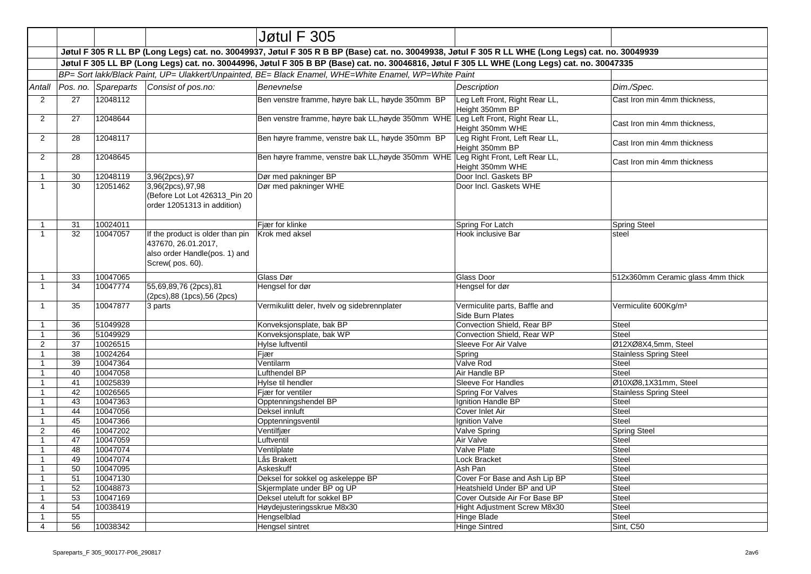|                   |          |                                                                                                                                              |                                                                                                             | Jøtul F 305                                                                                                                                        |                                                           |                                   |  |  |
|-------------------|----------|----------------------------------------------------------------------------------------------------------------------------------------------|-------------------------------------------------------------------------------------------------------------|----------------------------------------------------------------------------------------------------------------------------------------------------|-----------------------------------------------------------|-----------------------------------|--|--|
|                   |          |                                                                                                                                              |                                                                                                             | Jøtul F 305 R LL BP (Long Legs) cat. no. 30049937, Jøtul F 305 R B BP (Base) cat. no. 30049938, Jøtul F 305 R LL WHE (Long Legs) cat. no. 30049939 |                                                           |                                   |  |  |
|                   |          | Jøtul F 305 LL BP (Long Legs) cat. no. 30044996, Jøtul F 305 B BP (Base) cat. no. 30046816, Jøtul F 305 LL WHE (Long Legs) cat. no. 30047335 |                                                                                                             |                                                                                                                                                    |                                                           |                                   |  |  |
|                   |          |                                                                                                                                              |                                                                                                             | BP= Sort lakk/Black Paint, UP= Ulakkert/Unpainted, BE= Black Enamel, WHE=White Enamel, WP=White Paint                                              |                                                           |                                   |  |  |
| Antall            |          | Pos. no. Spareparts                                                                                                                          | Consist of pos.no:                                                                                          | <b>Benevnelse</b>                                                                                                                                  | <b>Description</b>                                        | Dim./Spec.                        |  |  |
| 2                 | 27       | 12048112                                                                                                                                     |                                                                                                             | Ben venstre framme, høyre bak LL, høyde 350mm BP                                                                                                   | Leg Left Front, Right Rear LL,<br>Height 350mm BP         | Cast Iron min 4mm thickness,      |  |  |
| 2                 | 27       | 12048644                                                                                                                                     |                                                                                                             | Ben venstre framme, høyre bak LL, høyde 350mm WHE Leg Left Front, Right Rear LL,                                                                   | Height 350mm WHE                                          | Cast Iron min 4mm thickness,      |  |  |
| $\overline{2}$    | 28       | 12048117                                                                                                                                     |                                                                                                             | Ben høyre framme, venstre bak LL, høyde 350mm BP                                                                                                   | Leg Right Front, Left Rear LL,<br>Height 350mm BP         | Cast Iron min 4mm thickness       |  |  |
| $\overline{2}$    | 28       | 12048645                                                                                                                                     |                                                                                                             | Ben høyre framme, venstre bak LL, høyde 350mm WHE                                                                                                  | Leg Right Front, Left Rear LL,<br>Height 350mm WHE        | Cast Iron min 4mm thickness       |  |  |
| -1                | 30       | 12048119                                                                                                                                     | 3,96(2pcs),97                                                                                               | Dør med pakninger BP                                                                                                                               | Door Incl. Gaskets BP                                     |                                   |  |  |
| $\mathbf{1}$      | 30       | 12051462                                                                                                                                     | 3,96(2pcs),97,98<br>(Before Lot Lot 426313 Pin 20<br>order 12051313 in addition)                            | Dør med pakninger WHE                                                                                                                              | Door Incl. Gaskets WHE                                    |                                   |  |  |
| $\mathbf{1}$      | 31       | 10024011                                                                                                                                     |                                                                                                             | Fjær for klinke                                                                                                                                    | Spring For Latch                                          | <b>Spring Steel</b>               |  |  |
| $\mathbf{1}$      | 32       | 10047057                                                                                                                                     | If the product is older than pin<br>437670, 26.01.2017,<br>also order Handle(pos. 1) and<br>Screw(pos. 60). | Krok med aksel                                                                                                                                     | Hook inclusive Bar                                        | steel                             |  |  |
| $\mathbf{1}$      | 33       | 10047065                                                                                                                                     |                                                                                                             | Glass Dør                                                                                                                                          | Glass Door                                                | 512x360mm Ceramic glass 4mm thick |  |  |
| $\mathbf{1}$      | 34       | 10047774                                                                                                                                     | 55,69,89,76 (2pcs),81<br>(2pcs), 88 (1pcs), 56 (2pcs)                                                       | Hengsel for dør                                                                                                                                    | Hengsel for dør                                           |                                   |  |  |
| $\mathbf{1}$      | 35       | 10047877                                                                                                                                     | 3 parts                                                                                                     | Vermikulitt deler, hvelv og sidebrennplater                                                                                                        | Vermiculite parts, Baffle and<br>Side Burn Plates         | Vermiculite 600Kg/m <sup>3</sup>  |  |  |
| $\mathbf{1}$      | 36       | 51049928                                                                                                                                     |                                                                                                             | Konveksjonsplate, bak BP                                                                                                                           | Convection Shield, Rear BP                                | <b>Steel</b>                      |  |  |
| $\mathbf{1}$      | 36       | 51049929                                                                                                                                     |                                                                                                             | Konveksjonsplate, bak WP                                                                                                                           | Convection Shield, Rear WP                                | Steel                             |  |  |
| $\overline{2}$    | 37       | 10026515                                                                                                                                     |                                                                                                             | Hylse luftventil                                                                                                                                   | Sleeve For Air Valve                                      | Ø12XØ8X4,5mm, Steel               |  |  |
|                   | 38       | 10024264                                                                                                                                     |                                                                                                             | Fjær                                                                                                                                               | Spring                                                    | <b>Stainless Spring Steel</b>     |  |  |
| $\mathbf{1}$      | 39       | 10047364                                                                                                                                     |                                                                                                             | Ventilarm                                                                                                                                          | Valve Rod                                                 | <b>Steel</b>                      |  |  |
| $\mathbf{1}$      | 40       | 10047058                                                                                                                                     |                                                                                                             | Lufthendel BP                                                                                                                                      | Air Handle BP                                             | <b>Steel</b>                      |  |  |
| $\mathbf{1}$      | 41       | 10025839                                                                                                                                     |                                                                                                             | Hylse til hendler                                                                                                                                  | Sleeve For Handles                                        | Ø10XØ8,1X31mm, Steel              |  |  |
| $\mathbf{1}$      | 42       | 10026565                                                                                                                                     |                                                                                                             | Fjær for ventiler                                                                                                                                  | Spring For Valves                                         | <b>Stainless Spring Steel</b>     |  |  |
| $\mathbf{1}$      | 43       | 10047363                                                                                                                                     |                                                                                                             | Opptenningshendel BP                                                                                                                               | Ignition Handle BP                                        | <b>Steel</b>                      |  |  |
| $\mathbf{1}$      | 44       | 10047056                                                                                                                                     |                                                                                                             | Deksel innluft                                                                                                                                     | Cover Inlet Air                                           | Steel                             |  |  |
| $\overline{1}$    | 45       | 10047366                                                                                                                                     |                                                                                                             | Opptenningsventil                                                                                                                                  | Ignition Valve                                            | Steel                             |  |  |
| $\overline{2}$    | 46       | 10047202                                                                                                                                     |                                                                                                             | Ventilfjær                                                                                                                                         | Valve Spring                                              | <b>Spring Steel</b>               |  |  |
| $\mathbf{1}$      | 47       | 10047059                                                                                                                                     |                                                                                                             | Luftventil                                                                                                                                         | Air Valve                                                 | Steel                             |  |  |
| $\mathbf{1}$      | 48       | 10047074                                                                                                                                     |                                                                                                             | Ventilplate                                                                                                                                        | Valve Plate                                               | <b>Steel</b>                      |  |  |
| $\mathbf{1}$      | 49       | 10047074                                                                                                                                     |                                                                                                             | Lås Brakett                                                                                                                                        | Lock Bracket                                              | <b>Steel</b>                      |  |  |
| $\mathbf{1}$      | 50       | 10047095                                                                                                                                     |                                                                                                             | Askeskuff                                                                                                                                          | Ash Pan                                                   | Steel                             |  |  |
| $\mathbf{1}$      | 51       | 10047130                                                                                                                                     |                                                                                                             | Deksel for sokkel og askeleppe BP                                                                                                                  | Cover For Base and Ash Lip BP                             | <b>Steel</b>                      |  |  |
| $\mathbf{1}$      | 52       | 10048873                                                                                                                                     |                                                                                                             | Skjermplate under BP og UP                                                                                                                         | Heatshield Under BP and UP                                | <b>Steel</b>                      |  |  |
| $\mathbf{1}$      | 53       | 10047169                                                                                                                                     |                                                                                                             | Deksel uteluft for sokkel BP                                                                                                                       | Cover Outside Air For Base BP                             | <b>Steel</b>                      |  |  |
| 4                 | 54<br>55 | 10038419                                                                                                                                     |                                                                                                             | Høydejusteringsskrue M8x30                                                                                                                         | <b>Hight Adjustment Screw M8x30</b><br><b>Hinge Blade</b> | <b>Steel</b><br><b>Steel</b>      |  |  |
| $\mathbf{1}$<br>4 | 56       | 10038342                                                                                                                                     |                                                                                                             | Hengselblad<br><b>Hengsel sintret</b>                                                                                                              | <b>Hinge Sintred</b>                                      | Sint, C50                         |  |  |
|                   |          |                                                                                                                                              |                                                                                                             |                                                                                                                                                    |                                                           |                                   |  |  |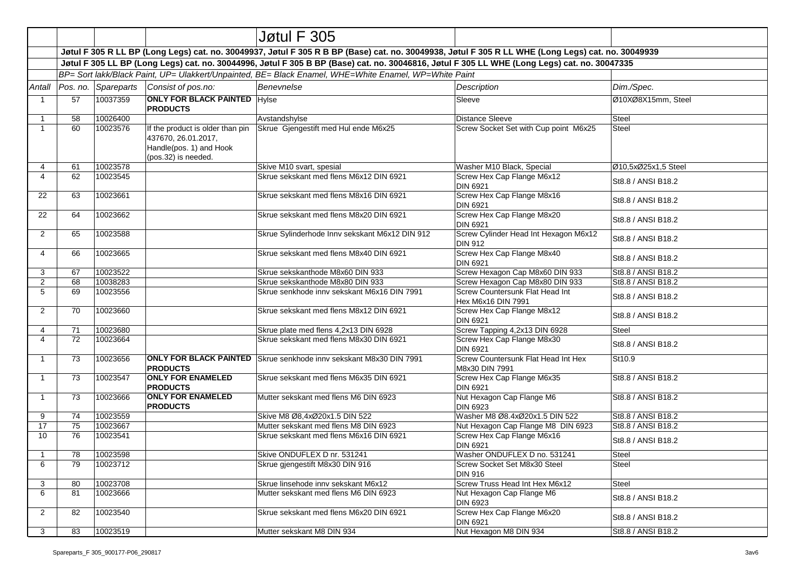|                |                                                                                                                                                                                                                                                       |                                |                                                                                                           | Jøtul F 305                                                                                                                                        |                                                         |                     |  |  |
|----------------|-------------------------------------------------------------------------------------------------------------------------------------------------------------------------------------------------------------------------------------------------------|--------------------------------|-----------------------------------------------------------------------------------------------------------|----------------------------------------------------------------------------------------------------------------------------------------------------|---------------------------------------------------------|---------------------|--|--|
|                |                                                                                                                                                                                                                                                       |                                |                                                                                                           | Jøtul F 305 R LL BP (Long Legs) cat. no. 30049937, Jøtul F 305 R B BP (Base) cat. no. 30049938, Jøtul F 305 R LL WHE (Long Legs) cat. no. 30049939 |                                                         |                     |  |  |
|                |                                                                                                                                                                                                                                                       |                                |                                                                                                           |                                                                                                                                                    |                                                         |                     |  |  |
|                | Jøtul F 305 LL BP (Long Legs) cat. no. 30044996, Jøtul F 305 B BP (Base) cat. no. 30046816, Jøtul F 305 LL WHE (Long Legs) cat. no. 30047335<br>BP= Sort lakk/Black Paint, UP= Ulakkert/Unpainted, BE= Black Enamel, WHE=White Enamel, WP=White Paint |                                |                                                                                                           |                                                                                                                                                    |                                                         |                     |  |  |
|                |                                                                                                                                                                                                                                                       | Antall   Pos. no.   Spareparts | Consist of pos.no:                                                                                        | Benevnelse                                                                                                                                         | <b>Description</b>                                      | Dim./Spec.          |  |  |
| $\mathbf{1}$   | 57                                                                                                                                                                                                                                                    | 10037359                       | <b>ONLY FOR BLACK PAINTED Hylse</b><br><b>PRODUCTS</b>                                                    |                                                                                                                                                    | Sleeve                                                  | Ø10XØ8X15mm, Steel  |  |  |
| 1              | 58                                                                                                                                                                                                                                                    | 10026400                       |                                                                                                           | Avstandshylse                                                                                                                                      | <b>Distance Sleeve</b>                                  | Steel               |  |  |
| $\mathbf{1}$   | 60                                                                                                                                                                                                                                                    | 10023576                       | If the product is older than pin<br>437670, 26.01.2017,<br>Handle(pos. 1) and Hook<br>(pos.32) is needed. | Skrue Gjengestift med Hul ende M6x25                                                                                                               | Screw Socket Set with Cup point M6x25                   | Steel               |  |  |
| 4              | 61                                                                                                                                                                                                                                                    | 10023578                       |                                                                                                           | Skive M10 svart, spesial                                                                                                                           | Washer M10 Black, Special                               | Ø10.5xØ25x1.5 Steel |  |  |
| 4              | 62                                                                                                                                                                                                                                                    | 10023545                       |                                                                                                           | Skrue sekskant med flens M6x12 DIN 6921                                                                                                            | Screw Hex Cap Flange M6x12<br><b>DIN 6921</b>           | St8.8 / ANSI B18.2  |  |  |
| 22             | 63                                                                                                                                                                                                                                                    | 10023661                       |                                                                                                           | Skrue sekskant med flens M8x16 DIN 6921                                                                                                            | Screw Hex Cap Flange M8x16<br><b>DIN 6921</b>           | St8.8 / ANSI B18.2  |  |  |
| 22             | 64                                                                                                                                                                                                                                                    | 10023662                       |                                                                                                           | Skrue sekskant med flens M8x20 DIN 6921                                                                                                            | Screw Hex Cap Flange M8x20<br><b>DIN 6921</b>           | St8.8 / ANSI B18.2  |  |  |
| 2              | 65                                                                                                                                                                                                                                                    | 10023588                       |                                                                                                           | Skrue Sylinderhode Innv sekskant M6x12 DIN 912                                                                                                     | Screw Cylinder Head Int Hexagon M6x12<br><b>DIN 912</b> | St8.8 / ANSI B18.2  |  |  |
| 4              | 66                                                                                                                                                                                                                                                    | 10023665                       |                                                                                                           | Skrue sekskant med flens M8x40 DIN 6921                                                                                                            | Screw Hex Cap Flange M8x40<br><b>DIN 6921</b>           | St8.8 / ANSI B18.2  |  |  |
| 3              | 67                                                                                                                                                                                                                                                    | 10023522                       |                                                                                                           | Skrue sekskanthode M8x60 DIN 933                                                                                                                   | Screw Hexagon Cap M8x60 DIN 933                         | St8.8 / ANSI B18.2  |  |  |
| $\overline{2}$ | 68                                                                                                                                                                                                                                                    | 10038283                       |                                                                                                           | Skrue sekskanthode M8x80 DIN 933                                                                                                                   | Screw Hexagon Cap M8x80 DIN 933                         | St8.8 / ANSI B18.2  |  |  |
| 5              | 69                                                                                                                                                                                                                                                    | 10023556                       |                                                                                                           | Skrue senkhode inny sekskant M6x16 DIN 7991                                                                                                        | Screw Countersunk Flat Head Int<br>Hex M6x16 DIN 7991   | St8.8 / ANSI B18.2  |  |  |
| $\overline{2}$ | 70                                                                                                                                                                                                                                                    | 10023660                       |                                                                                                           | Skrue sekskant med flens M8x12 DIN 6921                                                                                                            | Screw Hex Cap Flange M8x12<br>DIN 6921                  | St8.8 / ANSI B18.2  |  |  |
| 4              | 71                                                                                                                                                                                                                                                    | 10023680                       |                                                                                                           | Skrue plate med flens 4,2x13 DIN 6928                                                                                                              | Screw Tapping 4,2x13 DIN 6928                           | Steel               |  |  |
| 4              | 72                                                                                                                                                                                                                                                    | 10023664                       |                                                                                                           | Skrue sekskant med flens M8x30 DIN 6921                                                                                                            | Screw Hex Cap Flange M8x30<br><b>DIN 6921</b>           | St8.8 / ANSI B18.2  |  |  |
| $\mathbf{1}$   | 73                                                                                                                                                                                                                                                    | 10023656                       | <b>ONLY FOR BLACK PAINTED</b><br><b>PRODUCTS</b>                                                          | Skrue senkhode inny sekskant M8x30 DIN 7991                                                                                                        | Screw Countersunk Flat Head Int Hex<br>M8x30 DIN 7991   | St10.9              |  |  |
| $\mathbf{1}$   | 73                                                                                                                                                                                                                                                    | 10023547                       | <b>ONLY FOR ENAMELED</b><br><b>PRODUCTS</b>                                                               | Skrue sekskant med flens M6x35 DIN 6921                                                                                                            | Screw Hex Cap Flange M6x35<br><b>DIN 6921</b>           | St8.8 / ANSI B18.2  |  |  |
| $\mathbf{1}$   | 73                                                                                                                                                                                                                                                    | 10023666                       | <b>ONLY FOR ENAMELED</b><br><b>PRODUCTS</b>                                                               | Mutter sekskant med flens M6 DIN 6923                                                                                                              | Nut Hexagon Cap Flange M6<br><b>DIN 6923</b>            | St8.8 / ANSI B18.2  |  |  |
| 9              | 74                                                                                                                                                                                                                                                    | 10023559                       |                                                                                                           | Skive M8 Ø8.4xØ20x1.5 DIN 522                                                                                                                      | Washer M8 Ø8.4xØ20x1.5 DIN 522                          | St8.8 / ANSI B18.2  |  |  |
| 17             | 75                                                                                                                                                                                                                                                    | 10023667                       |                                                                                                           | Mutter sekskant med flens M8 DIN 6923                                                                                                              | Nut Hexagon Cap Flange M8 DIN 6923                      | St8.8 / ANSI B18.2  |  |  |
| 10             | 76                                                                                                                                                                                                                                                    | 10023541                       |                                                                                                           | Skrue sekskant med flens M6x16 DIN 6921                                                                                                            | Screw Hex Cap Flange M6x16<br>DIN 6921                  | St8.8 / ANSI B18.2  |  |  |
| $\mathbf{1}$   | 78                                                                                                                                                                                                                                                    | 10023598                       |                                                                                                           | Skive ONDUFLEX D nr. 531241                                                                                                                        | Washer ONDUFLEX D no. 531241                            | Steel               |  |  |
| 6              | 79                                                                                                                                                                                                                                                    | 10023712                       |                                                                                                           | Skrue gjengestift M8x30 DIN 916                                                                                                                    | Screw Socket Set M8x30 Steel<br><b>DIN 916</b>          | Steel               |  |  |
| 3              | 80                                                                                                                                                                                                                                                    | 10023708                       |                                                                                                           | Skrue linsehode innv sekskant M6x12                                                                                                                | Screw Truss Head Int Hex M6x12                          | Steel               |  |  |
| 6              | 81                                                                                                                                                                                                                                                    | 10023666                       |                                                                                                           | Mutter sekskant med flens M6 DIN 6923                                                                                                              | Nut Hexagon Cap Flange M6<br><b>DIN 6923</b>            | St8.8 / ANSI B18.2  |  |  |
| $\overline{2}$ | 82                                                                                                                                                                                                                                                    | 10023540                       |                                                                                                           | Skrue sekskant med flens M6x20 DIN 6921                                                                                                            | Screw Hex Cap Flange M6x20<br><b>DIN 6921</b>           | St8.8 / ANSI B18.2  |  |  |
| 3              | 83                                                                                                                                                                                                                                                    | 10023519                       |                                                                                                           | Mutter sekskant M8 DIN 934                                                                                                                         | Nut Hexagon M8 DIN 934                                  | St8.8 / ANSI B18.2  |  |  |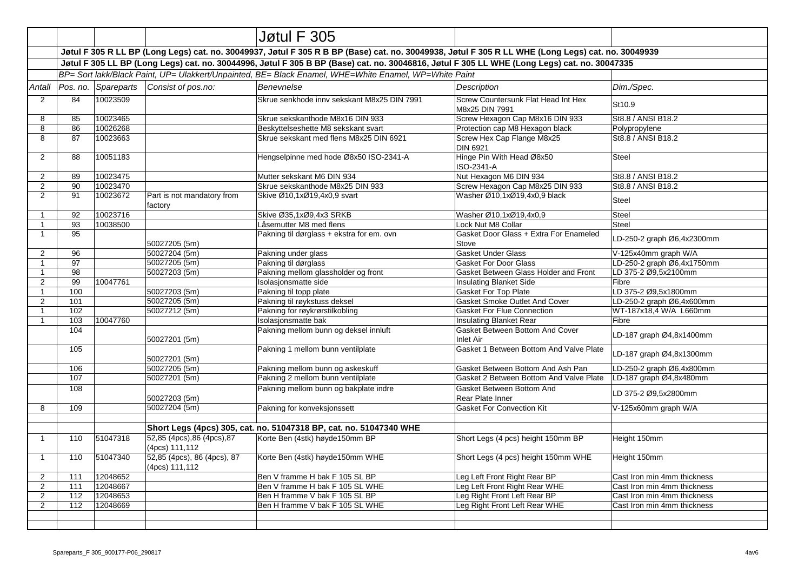|                |     |                                                                                                       |                                               | Jøtul F 305                                                                                                                                        |                                                       |                             |  |  |  |
|----------------|-----|-------------------------------------------------------------------------------------------------------|-----------------------------------------------|----------------------------------------------------------------------------------------------------------------------------------------------------|-------------------------------------------------------|-----------------------------|--|--|--|
|                |     |                                                                                                       |                                               | Jøtul F 305 R LL BP (Long Legs) cat. no. 30049937, Jøtul F 305 R B BP (Base) cat. no. 30049938, Jøtul F 305 R LL WHE (Long Legs) cat. no. 30049939 |                                                       |                             |  |  |  |
|                |     |                                                                                                       |                                               | Jøtul F 305 LL BP (Long Legs) cat. no. 30044996, Jøtul F 305 B BP (Base) cat. no. 30046816, Jøtul F 305 LL WHE (Long Legs) cat. no. 30047335       |                                                       |                             |  |  |  |
|                |     | BP= Sort lakk/Black Paint, UP= Ulakkert/Unpainted, BE= Black Enamel, WHE=White Enamel, WP=White Paint |                                               |                                                                                                                                                    |                                                       |                             |  |  |  |
| Antall         |     | Pos. no. Spareparts                                                                                   | Consist of pos.no:                            | Benevnelse                                                                                                                                         | <b>Description</b>                                    | Dim./Spec.                  |  |  |  |
| $\overline{2}$ | 84  | 10023509                                                                                              |                                               | Skrue senkhode innv sekskant M8x25 DIN 7991                                                                                                        | Screw Countersunk Flat Head Int Hex<br>M8x25 DIN 7991 | St10.9                      |  |  |  |
| 8              | 85  | 10023465                                                                                              |                                               | Skrue sekskanthode M8x16 DIN 933                                                                                                                   | Screw Hexagon Cap M8x16 DIN 933                       | St8.8 / ANSI B18.2          |  |  |  |
| 8              | 86  | 10026268                                                                                              |                                               | Beskyttelseshette M8 sekskant svart                                                                                                                | Protection cap M8 Hexagon black                       | Polypropylene               |  |  |  |
| 8              | 87  | 10023663                                                                                              |                                               | Skrue sekskant med flens M8x25 DIN 6921                                                                                                            | Screw Hex Cap Flange M8x25<br><b>DIN 6921</b>         | St8.8 / ANSI B18.2          |  |  |  |
| $\overline{2}$ | 88  | 10051183                                                                                              |                                               | Hengselpinne med hode Ø8x50 ISO-2341-A                                                                                                             | Hinge Pin With Head Ø8x50<br>ISO-2341-A               | <b>Steel</b>                |  |  |  |
| $\overline{2}$ | 89  | 10023475                                                                                              |                                               | Mutter sekskant M6 DIN 934                                                                                                                         | Nut Hexagon M6 DIN 934                                | St8.8 / ANSI B18.2          |  |  |  |
| $\overline{2}$ | 90  | 10023470                                                                                              |                                               | Skrue sekskanthode M8x25 DIN 933                                                                                                                   | Screw Hexagon Cap M8x25 DIN 933                       | St8.8 / ANSI B18.2          |  |  |  |
| $\overline{2}$ | 91  | 10023672                                                                                              | Part is not mandatory from<br>factory         | Skive Ø10,1xØ19,4x0,9 svart                                                                                                                        | Washer Ø10,1xØ19,4x0,9 black                          | <b>Steel</b>                |  |  |  |
| $\mathbf{1}$   | 92  | 10023716                                                                                              |                                               | Skive Ø35,1xØ9,4x3 SRKB                                                                                                                            | Washer Ø10,1xØ19,4x0,9                                | <b>Steel</b>                |  |  |  |
| $\mathbf{1}$   | 93  | 10038500                                                                                              |                                               | Låsemutter M8 med flens                                                                                                                            | Lock Nut M8 Collar                                    | <b>Steel</b>                |  |  |  |
| $\mathbf{1}$   | 95  |                                                                                                       | 50027205 (5m)                                 | Pakning til dørglass + ekstra for em. ovn                                                                                                          | Gasket Door Glass + Extra For Enameled<br>Stove       | LD-250-2 graph Ø6,4x2300mm  |  |  |  |
| $\overline{2}$ | 96  |                                                                                                       | 50027204 (5m)                                 | Pakning under glass                                                                                                                                | <b>Gasket Under Glass</b>                             | V-125x40mm graph W/A        |  |  |  |
| $\mathbf{1}$   | 97  |                                                                                                       | 50027205 (5m)                                 | Pakning til dørglass                                                                                                                               | <b>Gasket For Door Glass</b>                          | LD-250-2 graph Ø6,4x1750mm  |  |  |  |
| $\mathbf{1}$   | 98  |                                                                                                       | 50027203 (5m)                                 | Pakning mellom glassholder og front                                                                                                                | Gasket Between Glass Holder and Front                 | LD 375-2 Ø9.5x2100mm        |  |  |  |
| $\overline{2}$ | 99  | 10047761                                                                                              |                                               | Isolasjonsmatte side                                                                                                                               | <b>Insulating Blanket Side</b>                        | Fibre                       |  |  |  |
| $\mathbf{1}$   | 100 |                                                                                                       | 50027203 (5m)                                 | Pakning til topp plate                                                                                                                             | Gasket For Top Plate                                  | LD 375-2 Ø9,5x1800mm        |  |  |  |
| $\overline{2}$ | 101 |                                                                                                       | 50027205 (5m)                                 | Pakning til røykstuss deksel                                                                                                                       | Gasket Smoke Outlet And Cover                         | LD-250-2 graph Ø6,4x600mm   |  |  |  |
| $\mathbf{1}$   | 102 |                                                                                                       | 50027212 (5m)                                 | Pakning for røykrørstilkobling                                                                                                                     | <b>Gasket For Flue Connection</b>                     | WT-187x18,4 W/A L660mm      |  |  |  |
| $\mathbf{1}$   | 103 | 10047760                                                                                              |                                               | Isolasjonsmatte bak                                                                                                                                | Insulating Blanket Rear                               | Fibre                       |  |  |  |
|                | 104 |                                                                                                       | 50027201 (5m)                                 | Pakning mellom bunn og deksel innluft                                                                                                              | Gasket Between Bottom And Cover<br>Inlet Air          | LD-187 graph Ø4,8x1400mm    |  |  |  |
|                | 105 |                                                                                                       | 50027201 (5m)                                 | Pakning 1 mellom bunn ventilplate                                                                                                                  | Gasket 1 Between Bottom And Valve Plate               | LD-187 graph Ø4,8x1300mm    |  |  |  |
|                | 106 |                                                                                                       | 50027205 (5m)                                 | Pakning mellom bunn og askeskuff                                                                                                                   | Gasket Between Bottom And Ash Pan                     | LD-250-2 graph Ø6,4x800mm   |  |  |  |
|                | 107 |                                                                                                       | 50027201 (5m)                                 | Pakning 2 mellom bunn ventilplate                                                                                                                  | Gasket 2 Between Bottom And Valve Plate               | LD-187 graph Ø4,8x480mm     |  |  |  |
|                | 108 |                                                                                                       | 50027203 (5m)                                 | Pakning mellom bunn og bakplate indre                                                                                                              | Gasket Between Bottom And<br>Rear Plate Inner         | LD 375-2 Ø9,5x2800mm        |  |  |  |
| 8              | 109 |                                                                                                       | 50027204 (5m)                                 | Pakning for konveksjonssett                                                                                                                        | <b>Gasket For Convection Kit</b>                      | V-125x60mm graph W/A        |  |  |  |
|                |     |                                                                                                       |                                               |                                                                                                                                                    |                                                       |                             |  |  |  |
|                |     |                                                                                                       |                                               | Short Legs (4pcs) 305, cat. no. 51047318 BP, cat. no. 51047340 WHE                                                                                 |                                                       |                             |  |  |  |
| $\mathbf{1}$   | 110 | 51047318                                                                                              | 52,85 (4pcs),86 (4pcs),87<br>(4pcs) 111,112   | Korte Ben (4stk) høyde150mm BP                                                                                                                     | Short Legs (4 pcs) height 150mm BP                    | Height 150mm                |  |  |  |
| $\mathbf{1}$   | 110 | 51047340                                                                                              | 52,85 (4pcs), 86 (4pcs), 87<br>(4pcs) 111,112 | Korte Ben (4stk) høyde150mm WHE                                                                                                                    | Short Legs (4 pcs) height 150mm WHE                   | Height 150mm                |  |  |  |
| $\overline{2}$ | 111 | 12048652                                                                                              |                                               | Ben V framme H bak F 105 SL BP                                                                                                                     | Leg Left Front Right Rear BP                          | Cast Iron min 4mm thickness |  |  |  |
| $\overline{2}$ | 111 | 12048667                                                                                              |                                               | Ben V framme H bak F 105 SL WHE                                                                                                                    | Leg Left Front Right Rear WHE                         | Cast Iron min 4mm thickness |  |  |  |
| $\overline{2}$ | 112 | 12048653                                                                                              |                                               | Ben H framme V bak F 105 SL BP                                                                                                                     | Leg Right Front Left Rear BP                          | Cast Iron min 4mm thickness |  |  |  |
| $\overline{2}$ | 112 | 12048669                                                                                              |                                               | Ben H framme V bak F 105 SL WHE                                                                                                                    | Leg Right Front Left Rear WHE                         | Cast Iron min 4mm thickness |  |  |  |
|                |     |                                                                                                       |                                               |                                                                                                                                                    |                                                       |                             |  |  |  |
|                |     |                                                                                                       |                                               |                                                                                                                                                    |                                                       |                             |  |  |  |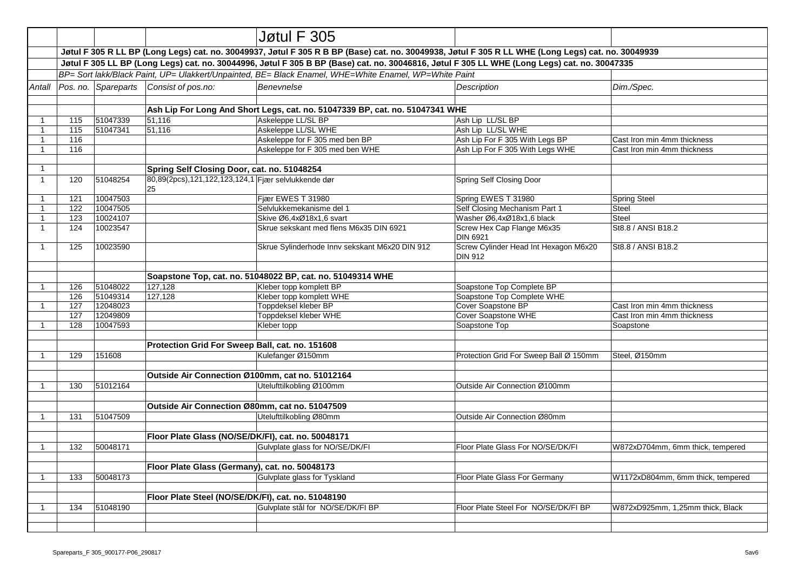|                         |                                                                                                                                                                                                                                                                                                    |                                                                                                       |                                                           | Jøtul F 305                                                                                        |                                                         |                                   |  |  |
|-------------------------|----------------------------------------------------------------------------------------------------------------------------------------------------------------------------------------------------------------------------------------------------------------------------------------------------|-------------------------------------------------------------------------------------------------------|-----------------------------------------------------------|----------------------------------------------------------------------------------------------------|---------------------------------------------------------|-----------------------------------|--|--|
|                         |                                                                                                                                                                                                                                                                                                    |                                                                                                       |                                                           |                                                                                                    |                                                         |                                   |  |  |
|                         | Jøtul F 305 R LL BP (Long Legs) cat. no. 30049937, Jøtul F 305 R B BP (Base) cat. no. 30049938, Jøtul F 305 R LL WHE (Long Legs) cat. no. 30049939<br>Jøtul F 305 LL BP (Long Legs) cat. no. 30044996, Jøtul F 305 B BP (Base) cat. no. 30046816, Jøtul F 305 LL WHE (Long Legs) cat. no. 30047335 |                                                                                                       |                                                           |                                                                                                    |                                                         |                                   |  |  |
|                         |                                                                                                                                                                                                                                                                                                    | BP= Sort lakk/Black Paint, UP= Ulakkert/Unpainted, BE= Black Enamel, WHE=White Enamel, WP=White Paint |                                                           |                                                                                                    |                                                         |                                   |  |  |
| Antall                  |                                                                                                                                                                                                                                                                                                    | Pos. no. Spareparts                                                                                   | Consist of pos.no:                                        | Benevnelse                                                                                         | Description                                             | Dim./Spec.                        |  |  |
|                         |                                                                                                                                                                                                                                                                                                    |                                                                                                       |                                                           |                                                                                                    |                                                         |                                   |  |  |
|                         |                                                                                                                                                                                                                                                                                                    |                                                                                                       |                                                           |                                                                                                    |                                                         |                                   |  |  |
| -1                      | 115                                                                                                                                                                                                                                                                                                | 51047339                                                                                              | 51,116                                                    | Ash Lip For Long And Short Legs, cat. no. 51047339 BP, cat. no. 51047341 WHE<br>Askeleppe LL/SL BP | Ash Lip LL/SL BP                                        |                                   |  |  |
| $\overline{\mathbf{1}}$ | 115                                                                                                                                                                                                                                                                                                | 51047341                                                                                              | 51,116                                                    | Askeleppe LL/SL WHE                                                                                | Ash Lip LL/SL WHE                                       |                                   |  |  |
| $\overline{1}$          | 116                                                                                                                                                                                                                                                                                                |                                                                                                       |                                                           | Askeleppe for F 305 med ben BP                                                                     | Ash Lip For F 305 With Legs BP                          | Cast Iron min 4mm thickness       |  |  |
| $\overline{1}$          | 116                                                                                                                                                                                                                                                                                                |                                                                                                       |                                                           | Askeleppe for F 305 med ben WHE                                                                    | Ash Lip For F 305 With Legs WHE                         | Cast Iron min 4mm thickness       |  |  |
|                         |                                                                                                                                                                                                                                                                                                    |                                                                                                       |                                                           |                                                                                                    |                                                         |                                   |  |  |
| $\overline{1}$          |                                                                                                                                                                                                                                                                                                    |                                                                                                       | Spring Self Closing Door, cat. no. 51048254               |                                                                                                    |                                                         |                                   |  |  |
| $\overline{1}$          | 120                                                                                                                                                                                                                                                                                                | 51048254                                                                                              | 80,89(2pcs),121,122,123,124,1 Fjær selvlukkende dør<br>25 |                                                                                                    | Spring Self Closing Door                                |                                   |  |  |
| $\overline{1}$          | 121                                                                                                                                                                                                                                                                                                | 10047503                                                                                              |                                                           | Fjær EWES T 31980                                                                                  | Spring EWES T 31980                                     | <b>Spring Steel</b>               |  |  |
| $\overline{1}$          | 122                                                                                                                                                                                                                                                                                                | 10047505                                                                                              |                                                           | Selvlukkemekanisme del 1                                                                           | Self Closing Mechanism Part 1                           | Steel                             |  |  |
| $\overline{1}$          | 123                                                                                                                                                                                                                                                                                                | 10024107                                                                                              |                                                           | Skive Ø6,4xØ18x1,6 svart                                                                           | Washer Ø6,4xØ18x1,6 black                               | Steel                             |  |  |
| $\overline{1}$          | 124                                                                                                                                                                                                                                                                                                | 10023547                                                                                              |                                                           | Skrue sekskant med flens M6x35 DIN 6921                                                            | Screw Hex Cap Flange M6x35<br><b>DIN 6921</b>           | St8.8 / ANSI B18.2                |  |  |
| $\overline{1}$          | 125                                                                                                                                                                                                                                                                                                | 10023590                                                                                              |                                                           | Skrue Sylinderhode Innv sekskant M6x20 DIN 912                                                     | Screw Cylinder Head Int Hexagon M6x20<br><b>DIN 912</b> | St8.8 / ANSI B18.2                |  |  |
|                         |                                                                                                                                                                                                                                                                                                    |                                                                                                       |                                                           |                                                                                                    |                                                         |                                   |  |  |
|                         |                                                                                                                                                                                                                                                                                                    |                                                                                                       |                                                           | Soapstone Top, cat. no. 51048022 BP, cat. no. 51049314 WHE                                         |                                                         |                                   |  |  |
| -1                      | 126                                                                                                                                                                                                                                                                                                | 51048022                                                                                              | 127,128                                                   | Kleber topp komplett BP                                                                            | Soapstone Top Complete BP                               |                                   |  |  |
|                         | 126                                                                                                                                                                                                                                                                                                | 51049314                                                                                              | 127,128                                                   | Kleber topp komplett WHE                                                                           | Soapstone Top Complete WHE                              |                                   |  |  |
| $\overline{1}$          | 127                                                                                                                                                                                                                                                                                                | 12048023                                                                                              |                                                           | Toppdeksel kleber BP                                                                               | Cover Soapstone BP                                      | Cast Iron min 4mm thickness       |  |  |
|                         | 127                                                                                                                                                                                                                                                                                                | 12049809                                                                                              |                                                           | Toppdeksel kleber WHE                                                                              | Cover Soapstone WHE                                     | Cast Iron min 4mm thickness       |  |  |
| $\overline{1}$          | 128                                                                                                                                                                                                                                                                                                | 10047593                                                                                              |                                                           | Kleber topp                                                                                        | Soapstone Top                                           | Soapstone                         |  |  |
|                         |                                                                                                                                                                                                                                                                                                    |                                                                                                       |                                                           |                                                                                                    |                                                         |                                   |  |  |
|                         |                                                                                                                                                                                                                                                                                                    |                                                                                                       | Protection Grid For Sweep Ball, cat. no. 151608           |                                                                                                    |                                                         |                                   |  |  |
| $\overline{1}$          | 129                                                                                                                                                                                                                                                                                                | 151608                                                                                                |                                                           | Kulefanger Ø150mm                                                                                  | Protection Grid For Sweep Ball Ø 150mm                  | Steel, Ø150mm                     |  |  |
|                         |                                                                                                                                                                                                                                                                                                    |                                                                                                       | Outside Air Connection Ø100mm, cat no. 51012164           |                                                                                                    |                                                         |                                   |  |  |
| -1                      | 130                                                                                                                                                                                                                                                                                                | 51012164                                                                                              |                                                           | Utelufttilkobling Ø100mm                                                                           | Outside Air Connection Ø100mm                           |                                   |  |  |
|                         |                                                                                                                                                                                                                                                                                                    |                                                                                                       |                                                           |                                                                                                    |                                                         |                                   |  |  |
|                         |                                                                                                                                                                                                                                                                                                    |                                                                                                       | Outside Air Connection Ø80mm, cat no. 51047509            |                                                                                                    |                                                         |                                   |  |  |
| -1                      | 131                                                                                                                                                                                                                                                                                                | 51047509                                                                                              |                                                           | Utelufttilkobling Ø80mm                                                                            | Outside Air Connection Ø80mm                            |                                   |  |  |
|                         |                                                                                                                                                                                                                                                                                                    |                                                                                                       |                                                           |                                                                                                    |                                                         |                                   |  |  |
|                         |                                                                                                                                                                                                                                                                                                    |                                                                                                       | Floor Plate Glass (NO/SE/DK/FI), cat. no. 50048171        |                                                                                                    |                                                         |                                   |  |  |
| -1                      | 132                                                                                                                                                                                                                                                                                                | 50048171                                                                                              |                                                           | Gulvplate glass for NO/SE/DK/FI                                                                    | Floor Plate Glass For NO/SE/DK/FI                       | W872xD704mm, 6mm thick, tempered  |  |  |
|                         |                                                                                                                                                                                                                                                                                                    |                                                                                                       |                                                           |                                                                                                    |                                                         |                                   |  |  |
|                         |                                                                                                                                                                                                                                                                                                    |                                                                                                       | Floor Plate Glass (Germany), cat. no. 50048173            |                                                                                                    |                                                         |                                   |  |  |
| -1                      | 133                                                                                                                                                                                                                                                                                                | 50048173                                                                                              |                                                           | Gulvplate glass for Tyskland                                                                       | Floor Plate Glass For Germany                           | W1172xD804mm, 6mm thick, tempered |  |  |
|                         |                                                                                                                                                                                                                                                                                                    |                                                                                                       |                                                           |                                                                                                    |                                                         |                                   |  |  |
|                         |                                                                                                                                                                                                                                                                                                    |                                                                                                       | Floor Plate Steel (NO/SE/DK/FI), cat. no. 51048190        |                                                                                                    |                                                         |                                   |  |  |
| -1                      | 134                                                                                                                                                                                                                                                                                                | 51048190                                                                                              |                                                           | Gulvplate stål for NO/SE/DK/FI BP                                                                  | Floor Plate Steel For NO/SE/DK/FI BP                    | W872xD925mm, 1,25mm thick, Black  |  |  |
|                         |                                                                                                                                                                                                                                                                                                    |                                                                                                       |                                                           |                                                                                                    |                                                         |                                   |  |  |
|                         |                                                                                                                                                                                                                                                                                                    |                                                                                                       |                                                           |                                                                                                    |                                                         |                                   |  |  |